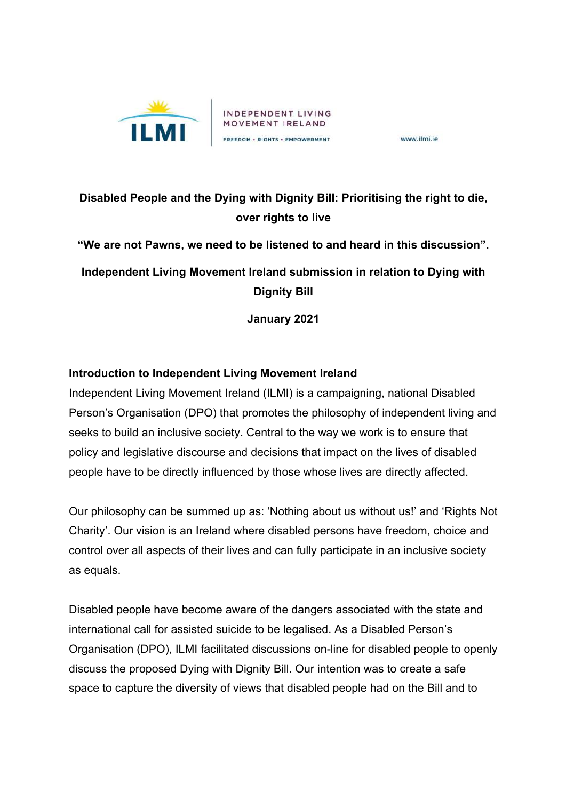

www.ilmi.ie

# **Disabled People and the Dying with Dignity Bill: Prioritising the right to die, over rights to live**

**"We are not Pawns, we need to be listened to and heard in this discussion".** 

**Independent Living Movement Ireland submission in relation to Dying with Dignity Bill**

**January 2021**

## **Introduction to Independent Living Movement Ireland**

Independent Living Movement Ireland (ILMI) is a campaigning, national Disabled Person's Organisation (DPO) that promotes the philosophy of independent living and seeks to build an inclusive society. Central to the way we work is to ensure that policy and legislative discourse and decisions that impact on the lives of disabled people have to be directly influenced by those whose lives are directly affected.

Our philosophy can be summed up as: 'Nothing about us without us!' and 'Rights Not Charity'. Our vision is an Ireland where disabled persons have freedom, choice and control over all aspects of their lives and can fully participate in an inclusive society as equals.

Disabled people have become aware of the dangers associated with the state and international call for assisted suicide to be legalised. As a Disabled Person's Organisation (DPO), ILMI facilitated discussions on-line for disabled people to openly discuss the proposed Dying with Dignity Bill. Our intention was to create a safe space to capture the diversity of views that disabled people had on the Bill and to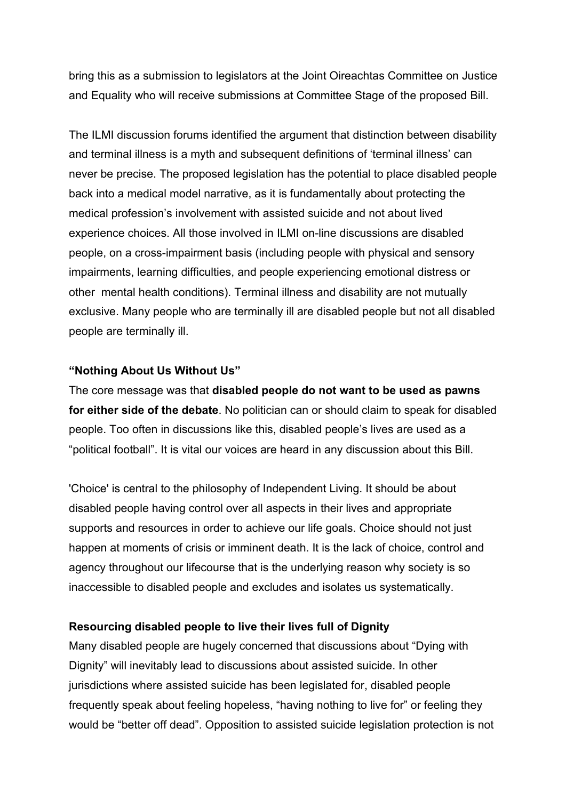bring this as a submission to legislators at the Joint Oireachtas Committee on Justice and Equality who will receive submissions at Committee Stage of the proposed Bill.

The ILMI discussion forums identified the argument that distinction between disability and terminal illness is a myth and subsequent definitions of 'terminal illness' can never be precise. The proposed legislation has the potential to place disabled people back into a medical model narrative, as it is fundamentally about protecting the medical profession's involvement with assisted suicide and not about lived experience choices. All those involved in ILMI on-line discussions are disabled people, on a cross-impairment basis (including people with physical and sensory impairments, learning difficulties, and people experiencing emotional distress or other mental health conditions). Terminal illness and disability are not mutually exclusive. Many people who are terminally ill are disabled people but not all disabled people are terminally ill.

### **"Nothing About Us Without Us"**

The core message was that **disabled people do not want to be used as pawns for either side of the debate**. No politician can or should claim to speak for disabled people. Too often in discussions like this, disabled people's lives are used as a "political football". It is vital our voices are heard in any discussion about this Bill.

'Choice' is central to the philosophy of Independent Living. It should be about disabled people having control over all aspects in their lives and appropriate supports and resources in order to achieve our life goals. Choice should not just happen at moments of crisis or imminent death. It is the lack of choice, control and agency throughout our lifecourse that is the underlying reason why society is so inaccessible to disabled people and excludes and isolates us systematically.

### **Resourcing disabled people to live their lives full of Dignity**

Many disabled people are hugely concerned that discussions about "Dying with Dignity" will inevitably lead to discussions about assisted suicide. In other jurisdictions where assisted suicide has been legislated for, disabled people frequently speak about feeling hopeless, "having nothing to live for" or feeling they would be "better off dead". Opposition to assisted suicide legislation protection is not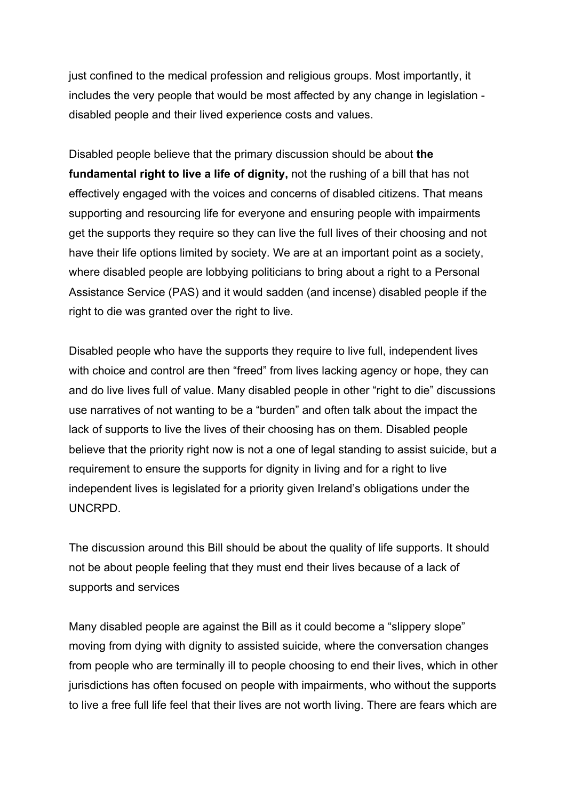just confined to the medical profession and religious groups. Most importantly, it includes the very people that would be most affected by any change in legislation disabled people and their lived experience costs and values.

Disabled people believe that the primary discussion should be about **the fundamental right to live a life of dignity,** not the rushing of a bill that has not effectively engaged with the voices and concerns of disabled citizens. That means supporting and resourcing life for everyone and ensuring people with impairments get the supports they require so they can live the full lives of their choosing and not have their life options limited by society. We are at an important point as a society, where disabled people are lobbying politicians to bring about a right to a Personal Assistance Service (PAS) and it would sadden (and incense) disabled people if the right to die was granted over the right to live.

Disabled people who have the supports they require to live full, independent lives with choice and control are then "freed" from lives lacking agency or hope, they can and do live lives full of value. Many disabled people in other "right to die" discussions use narratives of not wanting to be a "burden" and often talk about the impact the lack of supports to live the lives of their choosing has on them. Disabled people believe that the priority right now is not a one of legal standing to assist suicide, but a requirement to ensure the supports for dignity in living and for a right to live independent lives is legislated for a priority given Ireland's obligations under the UNCRPD.

The discussion around this Bill should be about the quality of life supports. It should not be about people feeling that they must end their lives because of a lack of supports and services

Many disabled people are against the Bill as it could become a "slippery slope" moving from dying with dignity to assisted suicide, where the conversation changes from people who are terminally ill to people choosing to end their lives, which in other jurisdictions has often focused on people with impairments, who without the supports to live a free full life feel that their lives are not worth living. There are fears which are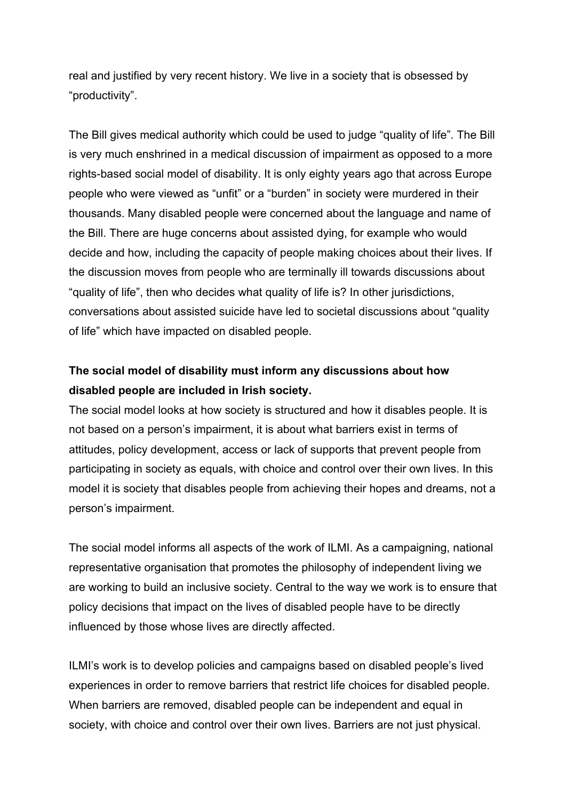real and justified by very recent history. We live in a society that is obsessed by "productivity".

The Bill gives medical authority which could be used to judge "quality of life". The Bill is very much enshrined in a medical discussion of impairment as opposed to a more rights-based social model of disability. It is only eighty years ago that across Europe people who were viewed as "unfit" or a "burden" in society were murdered in their thousands. Many disabled people were concerned about the language and name of the Bill. There are huge concerns about assisted dying, for example who would decide and how, including the capacity of people making choices about their lives. If the discussion moves from people who are terminally ill towards discussions about "quality of life", then who decides what quality of life is? In other jurisdictions, conversations about assisted suicide have led to societal discussions about "quality of life" which have impacted on disabled people.

## **The social model of disability must inform any discussions about how disabled people are included in Irish society.**

The social model looks at how society is structured and how it disables people. It is not based on a person's impairment, it is about what barriers exist in terms of attitudes, policy development, access or lack of supports that prevent people from participating in society as equals, with choice and control over their own lives. In this model it is society that disables people from achieving their hopes and dreams, not a person's impairment.

The social model informs all aspects of the work of ILMI. As a campaigning, national representative organisation that promotes the philosophy of independent living we are working to build an inclusive society. Central to the way we work is to ensure that policy decisions that impact on the lives of disabled people have to be directly influenced by those whose lives are directly affected.

ILMI's work is to develop policies and campaigns based on disabled people's lived experiences in order to remove barriers that restrict life choices for disabled people. When barriers are removed, disabled people can be independent and equal in society, with choice and control over their own lives. Barriers are not just physical.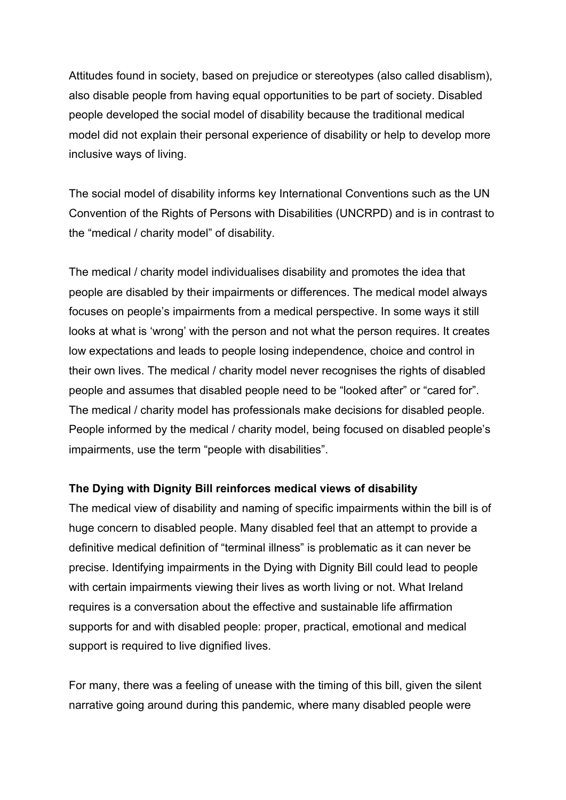Attitudes found in society, based on prejudice or stereotypes (also called disablism), also disable people from having equal opportunities to be part of society. Disabled people developed the social model of disability because the traditional medical model did not explain their personal experience of disability or help to develop more inclusive ways of living.

The social model of disability informs key International Conventions such as the UN Convention of the Rights of Persons with Disabilities (UNCRPD) and is in contrast to the "medical / charity model" of disability.

The medical / charity model individualises disability and promotes the idea that people are disabled by their impairments or differences. The medical model always focuses on people's impairments from a medical perspective. In some ways it still looks at what is 'wrong' with the person and not what the person requires. It creates low expectations and leads to people losing independence, choice and control in their own lives. The medical / charity model never recognises the rights of disabled people and assumes that disabled people need to be "looked after" or "cared for". The medical / charity model has professionals make decisions for disabled people. People informed by the medical / charity model, being focused on disabled people's impairments, use the term "people with disabilities".

### **The Dying with Dignity Bill reinforces medical views of disability**

The medical view of disability and naming of specific impairments within the bill is of huge concern to disabled people. Many disabled feel that an attempt to provide a definitive medical definition of "terminal illness" is problematic as it can never be precise. Identifying impairments in the Dying with Dignity Bill could lead to people with certain impairments viewing their lives as worth living or not. What Ireland requires is a conversation about the effective and sustainable life affirmation supports for and with disabled people: proper, practical, emotional and medical support is required to live dignified lives.

For many, there was a feeling of unease with the timing of this bill, given the silent narrative going around during this pandemic, where many disabled people were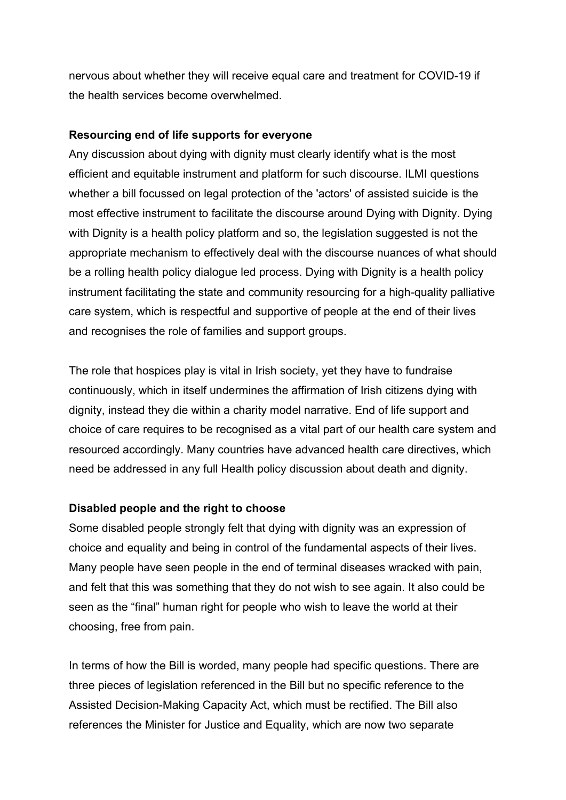nervous about whether they will receive equal care and treatment for COVID-19 if the health services become overwhelmed.

#### **Resourcing end of life supports for everyone**

Any discussion about dying with dignity must clearly identify what is the most efficient and equitable instrument and platform for such discourse. ILMI questions whether a bill focussed on legal protection of the 'actors' of assisted suicide is the most effective instrument to facilitate the discourse around Dying with Dignity. Dying with Dignity is a health policy platform and so, the legislation suggested is not the appropriate mechanism to effectively deal with the discourse nuances of what should be a rolling health policy dialogue led process. Dying with Dignity is a health policy instrument facilitating the state and community resourcing for a high-quality palliative care system, which is respectful and supportive of people at the end of their lives and recognises the role of families and support groups.

The role that hospices play is vital in Irish society, yet they have to fundraise continuously, which in itself undermines the affirmation of Irish citizens dying with dignity, instead they die within a charity model narrative. End of life support and choice of care requires to be recognised as a vital part of our health care system and resourced accordingly. Many countries have advanced health care directives, which need be addressed in any full Health policy discussion about death and dignity.

## **Disabled people and the right to choose**

Some disabled people strongly felt that dying with dignity was an expression of choice and equality and being in control of the fundamental aspects of their lives. Many people have seen people in the end of terminal diseases wracked with pain, and felt that this was something that they do not wish to see again. It also could be seen as the "final" human right for people who wish to leave the world at their choosing, free from pain.

In terms of how the Bill is worded, many people had specific questions. There are three pieces of legislation referenced in the Bill but no specific reference to the Assisted Decision-Making Capacity Act, which must be rectified. The Bill also references the Minister for Justice and Equality, which are now two separate